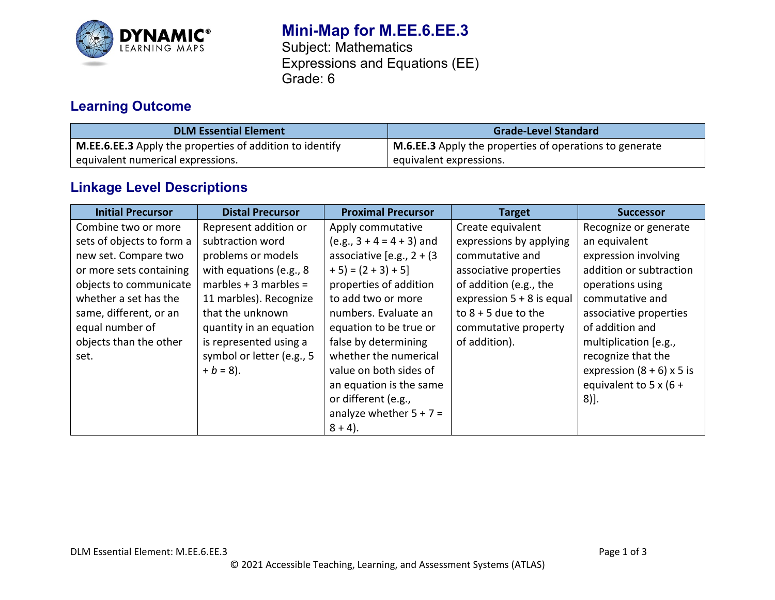

# **Mini-Map for M.EE.6.EE.3**

Subject: Mathematics Expressions and Equations (EE) Grade: 6

## **Learning Outcome**

| <b>DLM Essential Element</b>                                    | <b>Grade-Level Standard</b>                             |
|-----------------------------------------------------------------|---------------------------------------------------------|
| <b>M.EE.6.EE.3</b> Apply the properties of addition to identify | M.6.EE.3 Apply the properties of operations to generate |
| equivalent numerical expressions.                               | equivalent expressions.                                 |

## **Linkage Level Descriptions**

| <b>Initial Precursor</b>  | <b>Distal Precursor</b>   | <b>Proximal Precursor</b>    | <b>Target</b>               | <b>Successor</b>            |
|---------------------------|---------------------------|------------------------------|-----------------------------|-----------------------------|
| Combine two or more       | Represent addition or     | Apply commutative            | Create equivalent           | Recognize or generate       |
| sets of objects to form a | subtraction word          | $(e.g., 3 + 4 = 4 + 3)$ and  | expressions by applying     | an equivalent               |
| new set. Compare two      | problems or models        | associative [e.g., $2 + (3)$ | commutative and             | expression involving        |
| or more sets containing   | with equations (e.g., 8)  | $+5$ ) = $(2 + 3) + 5$ ]     | associative properties      | addition or subtraction     |
| objects to communicate    | marbles $+3$ marbles =    | properties of addition       | of addition (e.g., the      | operations using            |
| whether a set has the     | 11 marbles). Recognize    | to add two or more           | expression $5 + 8$ is equal | commutative and             |
| same, different, or an    | that the unknown          | numbers. Evaluate an         | to $8 + 5$ due to the       | associative properties      |
| equal number of           | quantity in an equation   | equation to be true or       | commutative property        | of addition and             |
| objects than the other    | is represented using a    | false by determining         | of addition).               | multiplication [e.g.,       |
| set.                      | symbol or letter (e.g., 5 | whether the numerical        |                             | recognize that the          |
|                           | $+ b = 8$ ).              | value on both sides of       |                             | expression $(8 + 6)$ x 5 is |
|                           |                           | an equation is the same      |                             | equivalent to 5 x (6 +      |
|                           |                           | or different (e.g.,          |                             | $8)$ ].                     |
|                           |                           | analyze whether $5 + 7 =$    |                             |                             |
|                           |                           | $8 + 4$ ).                   |                             |                             |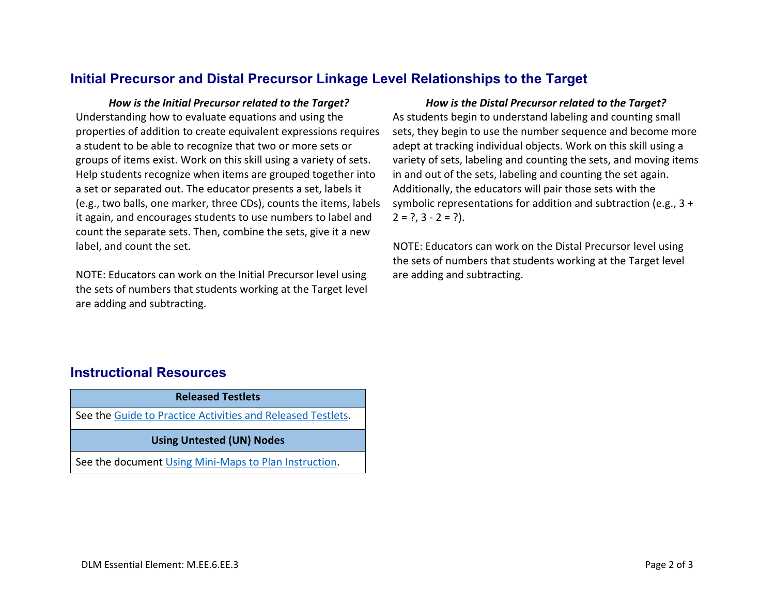#### **Initial Precursor and Distal Precursor Linkage Level Relationships to the Target**

Understanding how to evaluate equations and using the properties of addition to create equivalent expressions requires a student to be able to recognize that two or more sets or groups of items exist. Work on this skill using a variety of sets. Help students recognize when items are grouped together into a set or separated out. The educator presents a set, labels it (e.g., two balls, one marker, three CDs), counts the items, labels it again, and encourages students to use numbers to label and count the separate sets. Then, combine the sets, give it a new label, and count the set.

NOTE: Educators can work on the Initial Precursor level using the sets of numbers that students working at the Target level are adding and subtracting.

#### *How is the Initial Precursor related to the Target? How is the Distal Precursor related to the Target?*

As students begin to understand labeling and counting small sets, they begin to use the number sequence and become more adept at tracking individual objects. Work on this skill using a variety of sets, labeling and counting the sets, and moving items in and out of the sets, labeling and counting the set again. Additionally, the educators will pair those sets with the symbolic representations for addition and subtraction (e.g., 3 +  $2 = ?$ ,  $3 - 2 = ?$ ).

NOTE: Educators can work on the Distal Precursor level using the sets of numbers that students working at the Target level are adding and subtracting.

### **Instructional Resources**

| <b>Released Testlets</b>                                    |  |  |
|-------------------------------------------------------------|--|--|
| See the Guide to Practice Activities and Released Testlets. |  |  |
| <b>Using Untested (UN) Nodes</b>                            |  |  |
|                                                             |  |  |